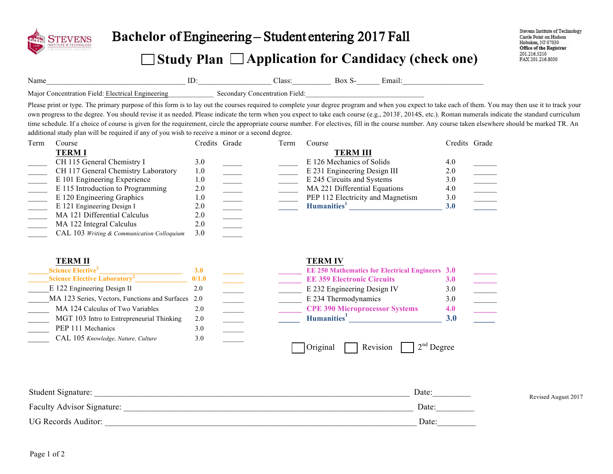

## B**achelor of** Engineering – Student entering 201**7** Fall

## **Study Plan Application for Candidacy (check one)**

Name\_\_\_\_\_\_\_\_\_\_\_\_\_\_\_\_\_\_\_\_\_\_\_\_\_\_\_\_\_\_\_\_\_\_\_\_ ID:\_\_\_\_\_\_\_\_\_\_\_\_\_\_\_\_\_\_\_ Class:\_\_\_\_\_\_\_\_\_\_ Box S-\_\_\_\_\_\_ Email:\_\_\_\_\_\_\_\_\_\_\_\_\_\_\_\_\_\_\_\_\_

Major Concentration Field: Electrical Engineering Secondary Concentration Field:

Please print or type. The primary purpose of this form is to lay out the courses required to complete your degree program and when you expect to take each of them. You may then use it to track your own progress to the degree. You should revise it as needed. Please indicate the term when you expect to take each course (e.g., 2013F, 2014S, etc.). Roman numerals indicate the standard curriculum time schedule. If a choice of course is given for the requirement, circle the appropriate course number. For electives, fill in the course number. Any course taken elsewhere should be marked TR. An additional study plan will be required if any of you wish to receive a minor or a second degree.

| Term | Course                                     | Credits Grade | Term | Course                            | Credits Grade |  |
|------|--------------------------------------------|---------------|------|-----------------------------------|---------------|--|
|      | <b>TERMI</b>                               |               |      | <b>TERM III</b>                   |               |  |
|      | CH 115 General Chemistry I                 | 3.0           |      | E 126 Mechanics of Solids         | 4.0           |  |
|      | CH 117 General Chemistry Laboratory        | 1.0           |      | E 231 Engineering Design III      | 2.0           |  |
|      | E 101 Engineering Experience               | 1.0           |      | E 245 Circuits and Systems        | 3.0           |  |
|      | E 115 Introduction to Programming          | 2.0           |      | MA 221 Differential Equations     | 4.0           |  |
|      | E 120 Engineering Graphics                 | 1.0           |      | PEP 112 Electricity and Magnetism | 3.0           |  |
|      | E 121 Engineering Design I                 | 2.0           |      | Humanities <sup>1</sup>           | 3.0           |  |
|      | MA 121 Differential Calculus               | 2.0           |      |                                   |               |  |
|      | MA 122 Integral Calculus                   | 2.0           |      |                                   |               |  |
|      | CAL 103 Writing & Communication Colloquium | 3.0           |      |                                   |               |  |

| <b>TERM II</b>                                     |            |  | <b>TERM IV</b>                                         |            |
|----------------------------------------------------|------------|--|--------------------------------------------------------|------------|
| Science Elective <sup>2</sup>                      | <b>3.0</b> |  | <b>EE 250 Mathematics for Electrical Engineers 3.0</b> |            |
| Science Elective Laboratory <sup>2</sup>           | 0/1.0      |  | <b>EE 359 Electronic Circuits</b>                      | <b>3.0</b> |
| E 122 Engineering Design II                        | 2.0        |  | E 232 Engineering Design IV                            | 3.0        |
| MA 123 Series, Vectors, Functions and Surfaces 2.0 |            |  | E 234 Thermodynamics                                   | 3.0        |
| MA 124 Calculus of Two Variables                   | 2.0        |  | <b>CPE 390 Microprocessor Systems</b>                  | 4.0        |
| MGT 103 Intro to Entrepreneurial Thinking          | 2.0        |  | Humanities <sup>1</sup>                                | <b>3.0</b> |
| PEP 111 Mechanics                                  | 3.0        |  |                                                        |            |
| CAL 105 Knowledge, Nature, Culture                 | 3.0        |  |                                                        |            |
|                                                    |            |  | Revision<br>Original                                   | Degree     |

| Student Signature:                | Date: | Revised August 2017 |
|-----------------------------------|-------|---------------------|
| <b>Faculty Advisor Signature:</b> | Date: |                     |
| <b>UG Records Auditor:</b>        | Date: |                     |